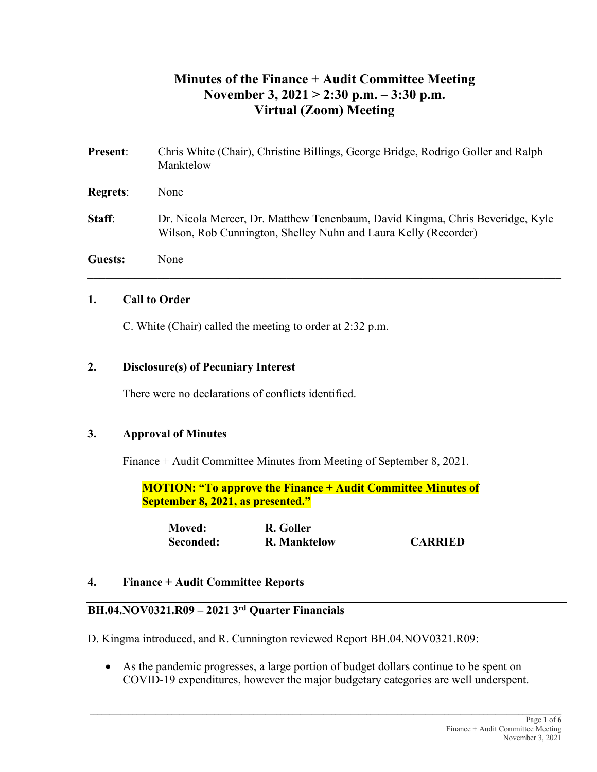# **Minutes of the Finance + Audit Committee Meeting November 3, 2021 > 2:30 p.m. – 3:30 p.m. Virtual (Zoom) Meeting**

| <b>Present:</b> | Chris White (Chair), Christine Billings, George Bridge, Rodrigo Goller and Ralph<br>Manktelow                                                    |
|-----------------|--------------------------------------------------------------------------------------------------------------------------------------------------|
| <b>Regrets:</b> | None                                                                                                                                             |
| <b>Staff:</b>   | Dr. Nicola Mercer, Dr. Matthew Tenenbaum, David Kingma, Chris Beveridge, Kyle<br>Wilson, Rob Cunnington, Shelley Nuhn and Laura Kelly (Recorder) |
| <b>Guests:</b>  | None                                                                                                                                             |

### **1. Call to Order**

C. White (Chair) called the meeting to order at 2:32 p.m.

# **2. Disclosure(s) of Pecuniary Interest**

There were no declarations of conflicts identified.

# **3. Approval of Minutes**

Finance + Audit Committee Minutes from Meeting of September 8, 2021.

**MOTION: "To approve the Finance + Audit Committee Minutes of September 8, 2021, as presented."**

| <b>Moved:</b> | R. Goller           |                |
|---------------|---------------------|----------------|
| Seconded:     | <b>R. Manktelow</b> | <b>CARRIED</b> |

#### **4. Finance + Audit Committee Reports**

#### **BH.04.NOV0321.R09 – 2021 3rd Quarter Financials**

D. Kingma introduced, and R. Cunnington reviewed Report BH.04.NOV0321.R09:

• As the pandemic progresses, a large portion of budget dollars continue to be spent on COVID-19 expenditures, however the major budgetary categories are well underspent.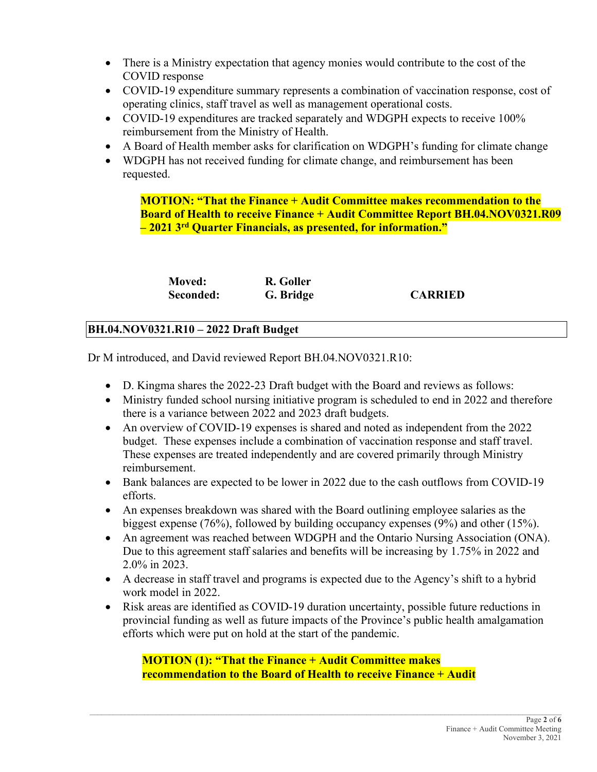- There is a Ministry expectation that agency monies would contribute to the cost of the COVID response
- COVID-19 expenditure summary represents a combination of vaccination response, cost of operating clinics, staff travel as well as management operational costs.
- COVID-19 expenditures are tracked separately and WDGPH expects to receive 100% reimbursement from the Ministry of Health.
- A Board of Health member asks for clarification on WDGPH's funding for climate change
- WDGPH has not received funding for climate change, and reimbursement has been requested.

**MOTION: "That the Finance + Audit Committee makes recommendation to the Board of Health to receive Finance + Audit Committee Report BH.04.NOV0321.R09 – 2021 3rd Quarter Financials, as presented, for information."**

| <b>Moved:</b> | R. Goller |                |
|---------------|-----------|----------------|
| Seconded:     | G. Bridge | <b>CARRIED</b> |

# **BH.04.NOV0321.R10 – 2022 Draft Budget**

Dr M introduced, and David reviewed Report BH.04.NOV0321.R10:

- D. Kingma shares the 2022-23 Draft budget with the Board and reviews as follows:
- Ministry funded school nursing initiative program is scheduled to end in 2022 and therefore there is a variance between 2022 and 2023 draft budgets.
- An overview of COVID-19 expenses is shared and noted as independent from the 2022 budget. These expenses include a combination of vaccination response and staff travel. These expenses are treated independently and are covered primarily through Ministry reimbursement.
- Bank balances are expected to be lower in 2022 due to the cash outflows from COVID-19 efforts.
- An expenses breakdown was shared with the Board outlining employee salaries as the biggest expense (76%), followed by building occupancy expenses (9%) and other (15%).
- An agreement was reached between WDGPH and the Ontario Nursing Association (ONA). Due to this agreement staff salaries and benefits will be increasing by 1.75% in 2022 and 2.0% in 2023.
- A decrease in staff travel and programs is expected due to the Agency's shift to a hybrid work model in 2022.
- Risk areas are identified as COVID-19 duration uncertainty, possible future reductions in provincial funding as well as future impacts of the Province's public health amalgamation efforts which were put on hold at the start of the pandemic.

**MOTION (1): "That the Finance + Audit Committee makes recommendation to the Board of Health to receive Finance + Audit**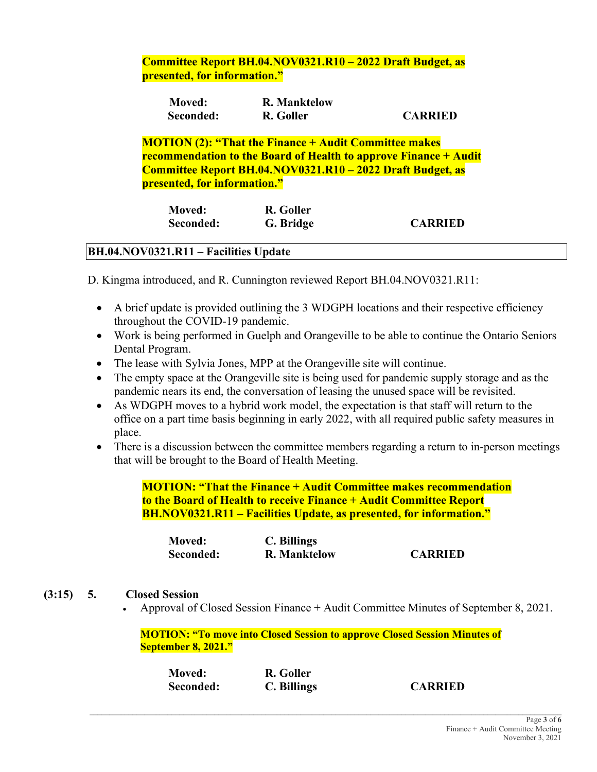# **Committee Report BH.04.NOV0321.R10 – 2022 Draft Budget, as presented, for information."**

| <b>Moved:</b> | <b>R. Manktelow</b> |                |
|---------------|---------------------|----------------|
| Seconded:     | R. Goller           | <b>CARRIED</b> |

**MOTION (2): "That the Finance + Audit Committee makes recommendation to the Board of Health to approve Finance + Audit Committee Report BH.04.NOV0321.R10 – 2022 Draft Budget, as presented, for information."**

| <b>Moved:</b> | R. Goller |                |
|---------------|-----------|----------------|
| Seconded:     | G. Bridge | <b>CARRIED</b> |

# **BH.04.NOV0321.R11 – Facilities Update**

D. Kingma introduced, and R. Cunnington reviewed Report BH.04.NOV0321.R11:

- A brief update is provided outlining the 3 WDGPH locations and their respective efficiency throughout the COVID-19 pandemic.
- Work is being performed in Guelph and Orangeville to be able to continue the Ontario Seniors Dental Program.
- The lease with Sylvia Jones, MPP at the Orangeville site will continue.
- The empty space at the Orangeville site is being used for pandemic supply storage and as the pandemic nears its end, the conversation of leasing the unused space will be revisited.
- As WDGPH moves to a hybrid work model, the expectation is that staff will return to the office on a part time basis beginning in early 2022, with all required public safety measures in place.
- There is a discussion between the committee members regarding a return to in-person meetings that will be brought to the Board of Health Meeting.

**MOTION: "That the Finance + Audit Committee makes recommendation to the Board of Health to receive Finance + Audit Committee Report BH.NOV0321.R11 – Facilities Update, as presented, for information."**

| <b>Moved:</b> | C. Billings         |                |
|---------------|---------------------|----------------|
| Seconded:     | <b>R. Manktelow</b> | <b>CARRIED</b> |

#### **(3:15) 5. Closed Session**

• Approval of Closed Session Finance + Audit Committee Minutes of September 8, 2021.

#### **MOTION: "To move into Closed Session to approve Closed Session Minutes of September 8, 2021."**

| <b>Moved:</b> | R. Goller   |                |
|---------------|-------------|----------------|
| Seconded:     | C. Billings | <b>CARRIED</b> |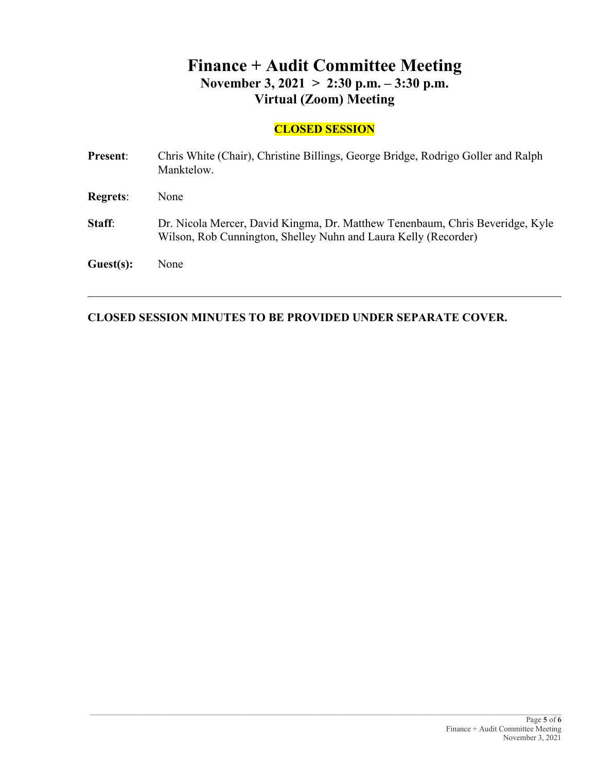# **Finance + Audit Committee Meeting November 3, 2021 > 2:30 p.m. – 3:30 p.m. Virtual (Zoom) Meeting**

# **CLOSED SESSION**

| <b>Present:</b> | Chris White (Chair), Christine Billings, George Bridge, Rodrigo Goller and Ralph<br>Manktelow.                                                   |
|-----------------|--------------------------------------------------------------------------------------------------------------------------------------------------|
| <b>Regrets:</b> | None                                                                                                                                             |
| Staff:          | Dr. Nicola Mercer, David Kingma, Dr. Matthew Tenenbaum, Chris Beveridge, Kyle<br>Wilson, Rob Cunnington, Shelley Nuhn and Laura Kelly (Recorder) |
| Guest(s):       | None                                                                                                                                             |

\_\_\_\_\_\_\_\_\_\_\_\_\_\_\_\_\_\_\_\_\_\_\_\_\_\_\_\_\_\_\_\_\_\_\_\_\_\_\_\_\_\_\_\_\_\_\_\_\_\_\_\_\_\_\_\_\_\_\_\_\_\_\_\_\_\_\_\_\_\_\_\_\_\_\_\_\_\_\_\_\_

# **CLOSED SESSION MINUTES TO BE PROVIDED UNDER SEPARATE COVER.**